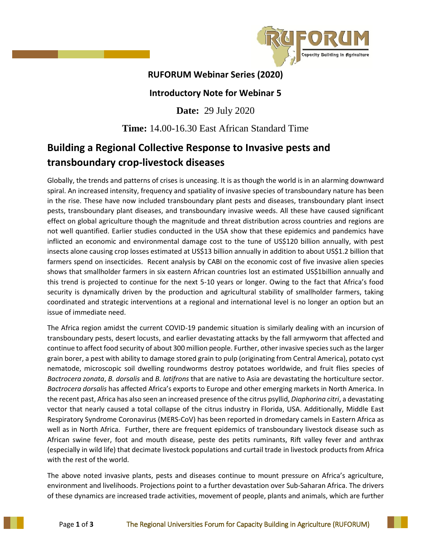

## **RUFORUM Webinar Series (2020)**

## **Introductory Note for Webinar 5**

**Date:** 29 July 2020

## **Time:** 14.00-16.30 East African Standard Time

# **Building a Regional Collective Response to Invasive pests and transboundary crop-livestock diseases**

Globally, the trends and patterns of crises is unceasing. It is as though the world is in an alarming downward spiral. An increased intensity, frequency and spatiality of invasive species of transboundary nature has been in the rise. These have now included transboundary plant pests and diseases, transboundary plant insect pests, transboundary plant diseases, and transboundary invasive weeds. All these have caused significant effect on global agriculture though the magnitude and threat distribution across countries and regions are not well quantified. Earlier studies conducted in the USA show that these epidemics and pandemics have inflicted an economic and environmental damage cost to the tune of US\$120 billion annually, with pest insects alone causing crop losses estimated at US\$13 billion annually in addition to about US\$1.2 billion that farmers spend on insecticides. Recent analysis by CABI on the economic cost of five invasive alien species shows that smallholder farmers in six eastern African countries lost an estimated US\$1billion annually and this trend is projected to continue for the next 5-10 years or longer. Owing to the fact that Africa's food security is dynamically driven by the production and agricultural stability of smallholder farmers, taking coordinated and strategic interventions at a regional and international level is no longer an option but an issue of immediate need.

The Africa region amidst the current COVID-19 pandemic situation is similarly dealing with an incursion of transboundary pests, desert locusts, and earlier devastating attacks by the fall armyworm that affected and continue to affect food security of about 300 million people. Further, other invasive species such as the larger grain borer, a pest with ability to damage stored grain to pulp (originating from Central America), potato cyst nematode, microscopic soil dwelling roundworms destroy potatoes worldwide, and fruit flies species of *Bactrocera zonata*, *B. dorsalis* and *B. latifrons* that are native to Asia are devastating the horticulture sector. *Bactrocera dorsalis* has affected Africa's exports to Europe and other emerging markets in North America. In the recent past, Africa has also seen an increased presence of the citrus psyllid, *Diaphorina citri*, a devastating vector that nearly caused a total collapse of the citrus industry in Florida, USA. Additionally, Middle East Respiratory Syndrome Coronavirus (MERS-CoV) has been reported in dromedary camels in Eastern Africa as well as in North Africa. Further, there are frequent epidemics of transboundary livestock disease such as African swine fever, foot and mouth disease, peste des petits ruminants, Rift valley fever and anthrax (especially in wild life) that decimate livestock populations and curtail trade in livestock products from Africa with the rest of the world.

The above noted invasive plants, pests and diseases continue to mount pressure on Africa's agriculture, environment and livelihoods. Projections point to a further devastation over Sub-Saharan Africa. The drivers of these dynamics are increased trade activities, movement of people, plants and animals, which are further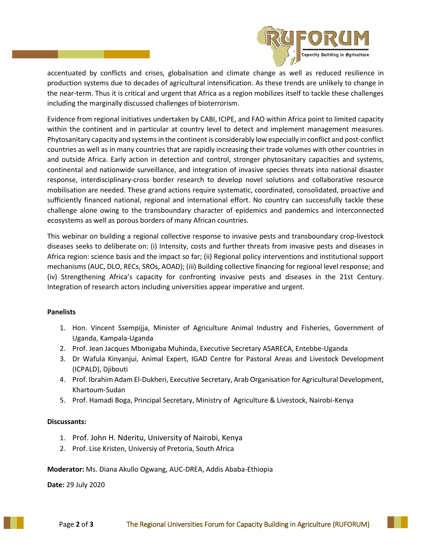

accentuated by conflicts and crises, globalisation and climate change as well as reduced resilience in production systems due to decades of agricultural intensification. As these trends are unlikely to change in the near-term. Thus it is critical and urgent that Africa as a region mobilizes itself to tackle these challenges including the marginally discussed challenges of bioterrorism.

Evidence from regional initiatives undertaken by CABI, ICIPE, and FAO within Africa point to limited capacity within the continent and in particular at country level to detect and implement management measures. Phytosanitary capacity and systems in the continent is considerably low especially in conflict and post-conflict countries as well as in many countries that are rapidly increasing their trade volumes with other countries in and outside Africa. Early action in detection and control, stronger phytosanitary capacities and systems, continental and nationwide surveillance, and integration of invasive species threats into national disaster response, interdisciplinary-cross border research to develop novel solutions and collaborative resource mobilisation are needed. These grand actions require systematic, coordinated, consolidated, proactive and sufficiently financed national, regional and international effort. No country can successfully tackle these challenge alone owing to the transboundary character of epidemics and pandemics and interconnected ecosystems as well as porous borders of many African countries.

This webinar on building a regional collective response to invasive pests and transboundary crop-livestock diseases seeks to deliberate on: (i) Intensity, costs and further threats from invasive pests and diseases in Africa region: science basis and the impact so far; (ii) Regional policy interventions and institutional support mechanisms (AUC, DLO, RECs, SROs, AOAD); (iii) Building collective financing for regional level response; and (iv) Strengthening Africa's capacity for confronting invasive pests and diseases in the 21st Century. Integration of research actors including universities appear imperative and urgent.

### **Panelists**

- 1. Hon. Vincent Ssempijja, Minister of Agriculture Animal Industry and Fisheries, Government of Uganda, Kampala-Uganda
- 2. Prof. Jean Jacques Mbonigaba Muhinda, Executive Secretary ASARECA, Entebbe-Uganda
- 3. Dr Wafula Kinyanjui, Animal Expert, IGAD Centre for Pastoral Areas and Livestock Development (ICPALD), Djibouti
- 4. Prof. Ibrahim Adam El-Dukheri, Executive Secretary, Arab Organisation for Agricultural Development, Khartoum-Sudan
- 5. Prof. Hamadi Boga, Principal Secretary, Ministry of Agriculture & Livestock, Nairobi-Kenya

### **Discussants:**

- 1. Prof. John H. Nderitu, University of Nairobi, Kenya
- 2. Prof. Lise Kristen, Universiy of Pretoria, South Africa

### **Moderator:** Ms. Diana Akullo Ogwang, AUC-DREA, Addis Ababa-Ethiopia

**Date:** 29 July 2020